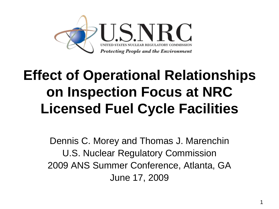

#### **Effect of Operational Relationships on Inspection Focus at NRC Licensed Fuel Cycle Facilities**

Dennis C. Morey and Thomas J. Marenchin U.S. Nuclear Regulatory Commission 2009 ANS Summer Conference, Atlanta, GA June 17, 2009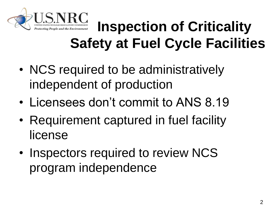

#### **Inspection of Criticality Safety at Fuel Cycle Facilities**

- NCS required to be administratively independent of production
- Licensees don't commit to ANS 8.19
- Requirement captured in fuel facility license
- Inspectors required to review NCS program independence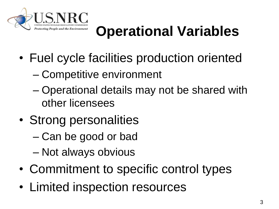

### **Operational Variables**

- Fuel cycle facilities production oriented
	- Competitive environment
	- Operational details may not be shared with other licensees
- Strong personalities
	- Can be good or bad
	- Not always obvious
- Commitment to specific control types
- Limited inspection resources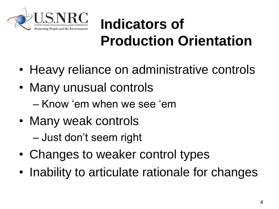

## **Indicators of Production Orientation**

- Heavy reliance on administrative controls
- Many unusual controls – Know 'em when we see 'em
- Many weak controls – Just don't seem right
- Changes to weaker control types
- Inability to articulate rationale for changes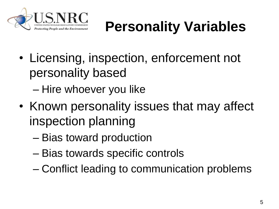

# **Personality Variables**

- Licensing, inspection, enforcement not personality based
	- Hire whoever you like
- Known personality issues that may affect inspection planning
	- Bias toward production
	- Bias towards specific controls
	- Conflict leading to communication problems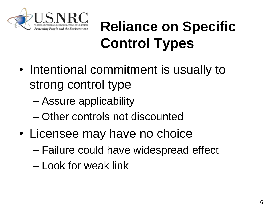

### **Reliance on Specific Control Types**

- Intentional commitment is usually to strong control type
	- Assure applicability
	- Other controls not discounted
- Licensee may have no choice
	- Failure could have widespread effect
	- Look for weak link